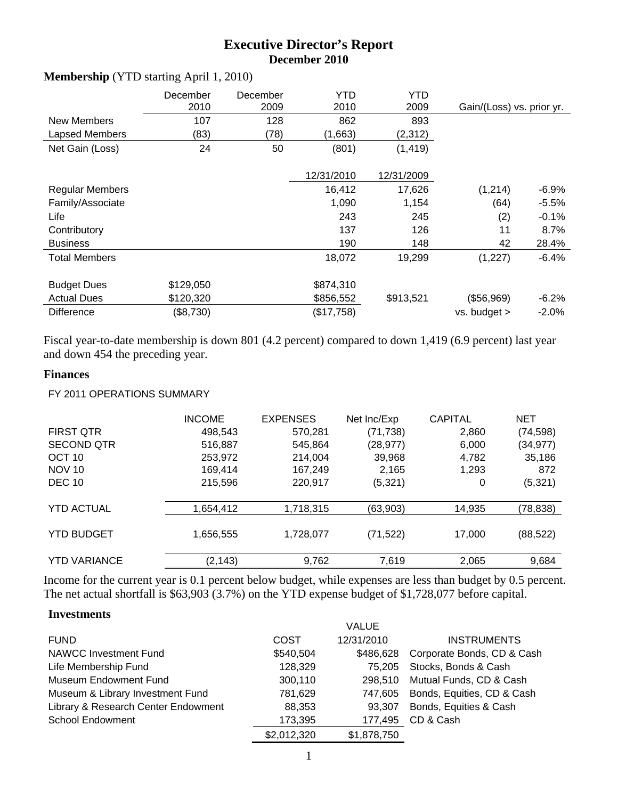# **Executive Director's Report December 2010**

|                        | December<br>2010 | December<br>2009 | YTD<br>2010 | YTD<br>2009 | Gain/(Loss) vs. prior yr. |          |
|------------------------|------------------|------------------|-------------|-------------|---------------------------|----------|
| New Members            | 107              | 128              | 862         | 893         |                           |          |
| Lapsed Members         | (83)             | (78)             | (1,663)     | (2,312)     |                           |          |
| Net Gain (Loss)        | 24               | 50               | (801)       | (1, 419)    |                           |          |
|                        |                  |                  | 12/31/2010  | 12/31/2009  |                           |          |
| <b>Regular Members</b> |                  |                  | 16,412      | 17,626      | (1,214)                   | $-6.9%$  |
| Family/Associate       |                  |                  | 1,090       | 1,154       | (64)                      | $-5.5\%$ |
| Life                   |                  |                  | 243         | 245         | (2)                       | $-0.1%$  |
| Contributory           |                  |                  | 137         | 126         | 11                        | 8.7%     |
| <b>Business</b>        |                  |                  | 190         | 148         | 42                        | 28.4%    |
| <b>Total Members</b>   |                  |                  | 18,072      | 19,299      | (1,227)                   | $-6.4\%$ |
| <b>Budget Dues</b>     | \$129,050        |                  | \$874,310   |             |                           |          |
| <b>Actual Dues</b>     | \$120,320        |                  | \$856,552   | \$913,521   | (\$56,969)                | $-6.2\%$ |
| <b>Difference</b>      | (\$8,730)        |                  | (\$17,758)  |             | vs. budget >              | $-2.0%$  |

#### **Membership** (YTD starting April 1, 2010)

Fiscal year-to-date membership is down 801 (4.2 percent) compared to down 1,419 (6.9 percent) last year and down 454 the preceding year.

### **Finances**

FY 2011 OPERATIONS SUMMARY

|                     | <b>INCOME</b> | <b>EXPENSES</b> | Net Inc/Exp | <b>CAPITAL</b> | NET       |
|---------------------|---------------|-----------------|-------------|----------------|-----------|
| <b>FIRST QTR</b>    | 498,543       | 570,281         | (71, 738)   | 2,860          | (74, 598) |
| <b>SECOND QTR</b>   | 516,887       | 545,864         | (28, 977)   | 6,000          | (34, 977) |
| OCT <sub>10</sub>   | 253,972       | 214,004         | 39,968      | 4,782          | 35,186    |
| <b>NOV 10</b>       | 169,414       | 167,249         | 2,165       | 1,293          | 872       |
| <b>DEC 10</b>       | 215,596       | 220,917         | (5,321)     | 0              | (5,321)   |
| <b>YTD ACTUAL</b>   | 1,654,412     | 1,718,315       | (63,903)    | 14,935         | (78,838)  |
| <b>YTD BUDGET</b>   | 1,656,555     | 1,728,077       | (71, 522)   | 17,000         | (88, 522) |
| <b>YTD VARIANCE</b> | (2, 143)      | 9,762           | 7,619       | 2,065          | 9,684     |

Income for the current year is 0.1 percent below budget, while expenses are less than budget by 0.5 percent. The net actual shortfall is \$63,903 (3.7%) on the YTD expense budget of \$1,728,077 before capital.

#### **Investments**

|                                     |             | <b>VALUE</b> |                            |
|-------------------------------------|-------------|--------------|----------------------------|
| <b>FUND</b>                         | COST        | 12/31/2010   | <b>INSTRUMENTS</b>         |
| <b>NAWCC Investment Fund</b>        | \$540,504   | \$486.628    | Corporate Bonds, CD & Cash |
| Life Membership Fund                | 128,329     | 75.205       | Stocks, Bonds & Cash       |
| <b>Museum Endowment Fund</b>        | 300,110     | 298.510      | Mutual Funds, CD & Cash    |
| Museum & Library Investment Fund    | 781,629     | 747,605      | Bonds, Equities, CD & Cash |
| Library & Research Center Endowment | 88,353      | 93.307       | Bonds, Equities & Cash     |
| <b>School Endowment</b>             | 173,395     | 177,495      | CD & Cash                  |
|                                     | \$2,012,320 | \$1,878,750  |                            |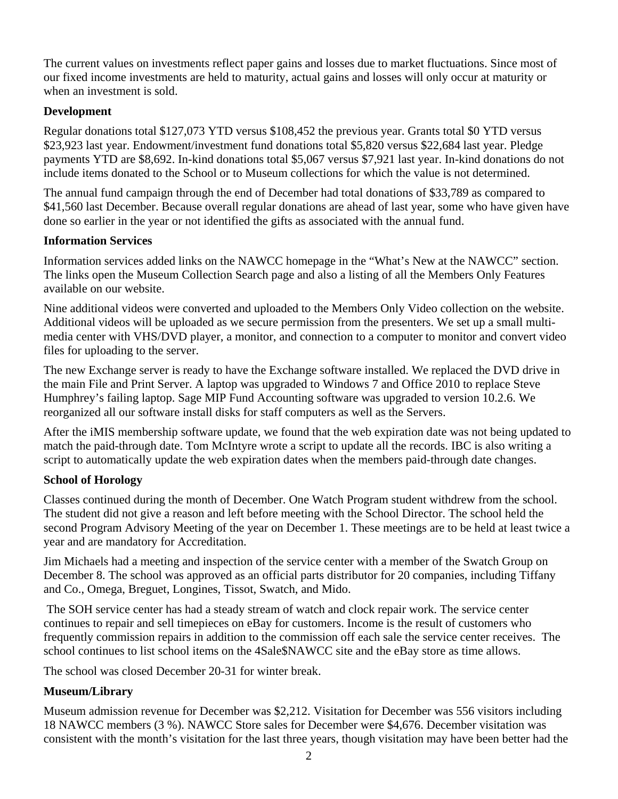The current values on investments reflect paper gains and losses due to market fluctuations. Since most of our fixed income investments are held to maturity, actual gains and losses will only occur at maturity or when an investment is sold.

### **Development**

Regular donations total \$127,073 YTD versus \$108,452 the previous year. Grants total \$0 YTD versus \$23,923 last year. Endowment/investment fund donations total \$5,820 versus \$22,684 last year. Pledge payments YTD are \$8,692. In-kind donations total \$5,067 versus \$7,921 last year. In-kind donations do not include items donated to the School or to Museum collections for which the value is not determined.

The annual fund campaign through the end of December had total donations of \$33,789 as compared to \$41,560 last December. Because overall regular donations are ahead of last year, some who have given have done so earlier in the year or not identified the gifts as associated with the annual fund.

### **Information Services**

Information services added links on the NAWCC homepage in the "What's New at the NAWCC" section. The links open the Museum Collection Search page and also a listing of all the Members Only Features available on our website.

Nine additional videos were converted and uploaded to the Members Only Video collection on the website. Additional videos will be uploaded as we secure permission from the presenters. We set up a small multimedia center with VHS/DVD player, a monitor, and connection to a computer to monitor and convert video files for uploading to the server.

The new Exchange server is ready to have the Exchange software installed. We replaced the DVD drive in the main File and Print Server. A laptop was upgraded to Windows 7 and Office 2010 to replace Steve Humphrey's failing laptop. Sage MIP Fund Accounting software was upgraded to version 10.2.6. We reorganized all our software install disks for staff computers as well as the Servers.

After the iMIS membership software update, we found that the web expiration date was not being updated to match the paid-through date. Tom McIntyre wrote a script to update all the records. IBC is also writing a script to automatically update the web expiration dates when the members paid-through date changes.

# **School of Horology**

Classes continued during the month of December. One Watch Program student withdrew from the school. The student did not give a reason and left before meeting with the School Director. The school held the second Program Advisory Meeting of the year on December 1. These meetings are to be held at least twice a year and are mandatory for Accreditation.

Jim Michaels had a meeting and inspection of the service center with a member of the Swatch Group on December 8. The school was approved as an official parts distributor for 20 companies, including Tiffany and Co., Omega, Breguet, Longines, Tissot, Swatch, and Mido.

 The SOH service center has had a steady stream of watch and clock repair work. The service center continues to repair and sell timepieces on eBay for customers. Income is the result of customers who frequently commission repairs in addition to the commission off each sale the service center receives. The school continues to list school items on the 4Sale\$NAWCC site and the eBay store as time allows.

The school was closed December 20-31 for winter break.

# **Museum/Library**

Museum admission revenue for December was \$2,212. Visitation for December was 556 visitors including 18 NAWCC members (3 %). NAWCC Store sales for December were \$4,676. December visitation was consistent with the month's visitation for the last three years, though visitation may have been better had the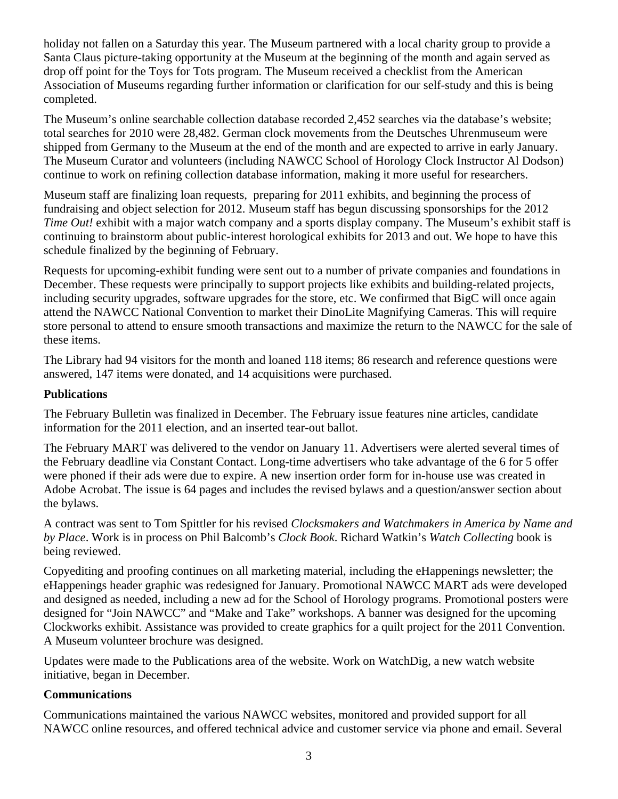holiday not fallen on a Saturday this year. The Museum partnered with a local charity group to provide a Santa Claus picture-taking opportunity at the Museum at the beginning of the month and again served as drop off point for the Toys for Tots program. The Museum received a checklist from the American Association of Museums regarding further information or clarification for our self-study and this is being completed.

The Museum's online searchable collection database recorded 2,452 searches via the database's website; total searches for 2010 were 28,482. German clock movements from the Deutsches Uhrenmuseum were shipped from Germany to the Museum at the end of the month and are expected to arrive in early January. The Museum Curator and volunteers (including NAWCC School of Horology Clock Instructor Al Dodson) continue to work on refining collection database information, making it more useful for researchers.

Museum staff are finalizing loan requests, preparing for 2011 exhibits, and beginning the process of fundraising and object selection for 2012. Museum staff has begun discussing sponsorships for the 2012 *Time Out!* exhibit with a major watch company and a sports display company. The Museum's exhibit staff is continuing to brainstorm about public-interest horological exhibits for 2013 and out. We hope to have this schedule finalized by the beginning of February.

Requests for upcoming-exhibit funding were sent out to a number of private companies and foundations in December. These requests were principally to support projects like exhibits and building-related projects, including security upgrades, software upgrades for the store, etc. We confirmed that BigC will once again attend the NAWCC National Convention to market their DinoLite Magnifying Cameras. This will require store personal to attend to ensure smooth transactions and maximize the return to the NAWCC for the sale of these items.

The Library had 94 visitors for the month and loaned 118 items; 86 research and reference questions were answered, 147 items were donated, and 14 acquisitions were purchased.

#### **Publications**

The February Bulletin was finalized in December. The February issue features nine articles, candidate information for the 2011 election, and an inserted tear-out ballot.

The February MART was delivered to the vendor on January 11. Advertisers were alerted several times of the February deadline via Constant Contact. Long-time advertisers who take advantage of the 6 for 5 offer were phoned if their ads were due to expire. A new insertion order form for in-house use was created in Adobe Acrobat. The issue is 64 pages and includes the revised bylaws and a question/answer section about the bylaws.

A contract was sent to Tom Spittler for his revised *Clocksmakers and Watchmakers in America by Name and by Place*. Work is in process on Phil Balcomb's *Clock Book*. Richard Watkin's *Watch Collecting* book is being reviewed.

Copyediting and proofing continues on all marketing material, including the eHappenings newsletter; the eHappenings header graphic was redesigned for January. Promotional NAWCC MART ads were developed and designed as needed, including a new ad for the School of Horology programs. Promotional posters were designed for "Join NAWCC" and "Make and Take" workshops. A banner was designed for the upcoming Clockworks exhibit. Assistance was provided to create graphics for a quilt project for the 2011 Convention. A Museum volunteer brochure was designed.

Updates were made to the Publications area of the website. Work on WatchDig, a new watch website initiative, began in December.

#### **Communications**

Communications maintained the various NAWCC websites, monitored and provided support for all NAWCC online resources, and offered technical advice and customer service via phone and email. Several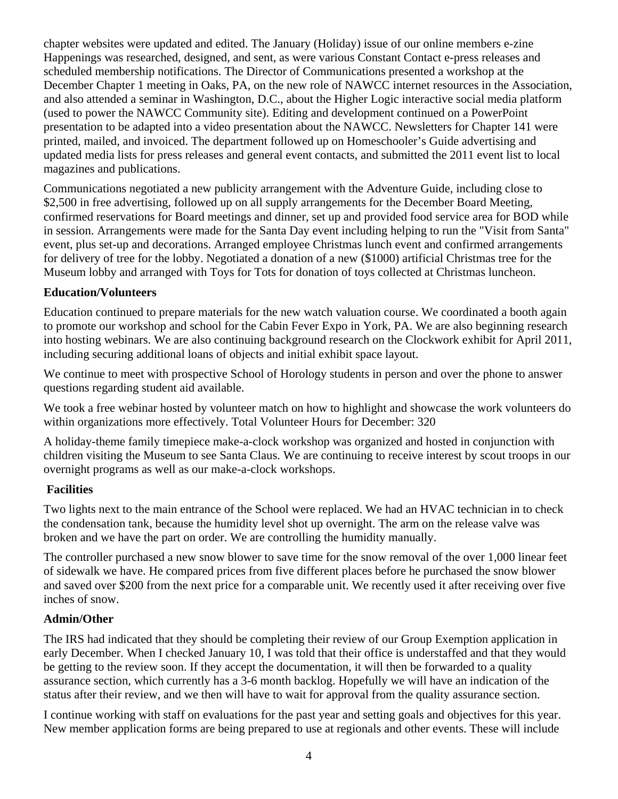chapter websites were updated and edited. The January (Holiday) issue of our online members e-zine Happenings was researched, designed, and sent, as were various Constant Contact e-press releases and scheduled membership notifications. The Director of Communications presented a workshop at the December Chapter 1 meeting in Oaks, PA, on the new role of NAWCC internet resources in the Association, and also attended a seminar in Washington, D.C., about the Higher Logic interactive social media platform (used to power the NAWCC Community site). Editing and development continued on a PowerPoint presentation to be adapted into a video presentation about the NAWCC. Newsletters for Chapter 141 were printed, mailed, and invoiced. The department followed up on Homeschooler's Guide advertising and updated media lists for press releases and general event contacts, and submitted the 2011 event list to local magazines and publications.

Communications negotiated a new publicity arrangement with the Adventure Guide, including close to \$2,500 in free advertising, followed up on all supply arrangements for the December Board Meeting, confirmed reservations for Board meetings and dinner, set up and provided food service area for BOD while in session. Arrangements were made for the Santa Day event including helping to run the "Visit from Santa" event, plus set-up and decorations. Arranged employee Christmas lunch event and confirmed arrangements for delivery of tree for the lobby. Negotiated a donation of a new (\$1000) artificial Christmas tree for the Museum lobby and arranged with Toys for Tots for donation of toys collected at Christmas luncheon.

### **Education/Volunteers**

Education continued to prepare materials for the new watch valuation course. We coordinated a booth again to promote our workshop and school for the Cabin Fever Expo in York, PA. We are also beginning research into hosting webinars. We are also continuing background research on the Clockwork exhibit for April 2011, including securing additional loans of objects and initial exhibit space layout.

We continue to meet with prospective School of Horology students in person and over the phone to answer questions regarding student aid available.

We took a free webinar hosted by volunteer match on how to highlight and showcase the work volunteers do within organizations more effectively. Total Volunteer Hours for December: 320

A holiday-theme family timepiece make-a-clock workshop was organized and hosted in conjunction with children visiting the Museum to see Santa Claus. We are continuing to receive interest by scout troops in our overnight programs as well as our make-a-clock workshops.

#### **Facilities**

Two lights next to the main entrance of the School were replaced. We had an HVAC technician in to check the condensation tank, because the humidity level shot up overnight. The arm on the release valve was broken and we have the part on order. We are controlling the humidity manually.

The controller purchased a new snow blower to save time for the snow removal of the over 1,000 linear feet of sidewalk we have. He compared prices from five different places before he purchased the snow blower and saved over \$200 from the next price for a comparable unit. We recently used it after receiving over five inches of snow.

### **Admin/Other**

The IRS had indicated that they should be completing their review of our Group Exemption application in early December. When I checked January 10, I was told that their office is understaffed and that they would be getting to the review soon. If they accept the documentation, it will then be forwarded to a quality assurance section, which currently has a 3-6 month backlog. Hopefully we will have an indication of the status after their review, and we then will have to wait for approval from the quality assurance section.

I continue working with staff on evaluations for the past year and setting goals and objectives for this year. New member application forms are being prepared to use at regionals and other events. These will include